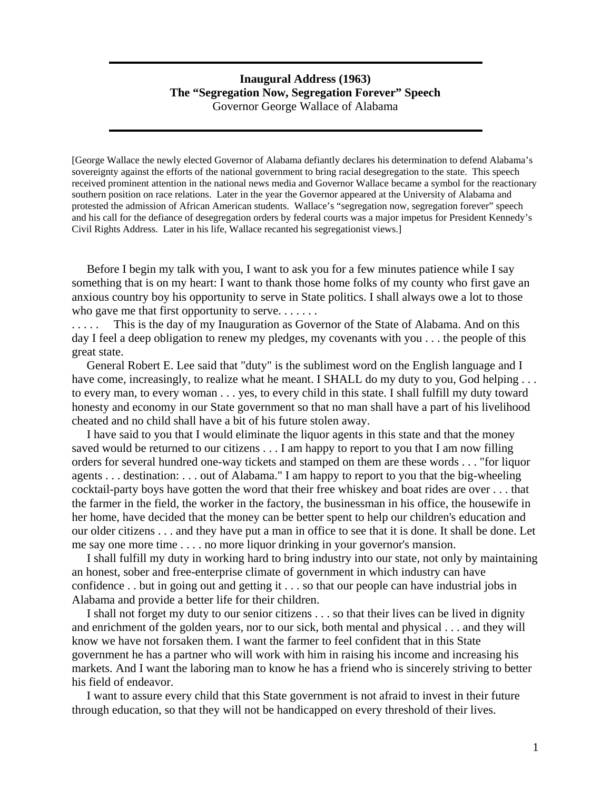## **Inaugural Address (1963) The "Segregation Now, Segregation Forever" Speech**  Governor George Wallace of Alabama

[George Wallace the newly elected Governor of Alabama defiantly declares his determination to defend Alabama's sovereignty against the efforts of the national government to bring racial desegregation to the state. This speech received prominent attention in the national news media and Governor Wallace became a symbol for the reactionary southern position on race relations. Later in the year the Governor appeared at the University of Alabama and protested the admission of African American students. Wallace's "segregation now, segregation forever" speech and his call for the defiance of desegregation orders by federal courts was a major impetus for President Kennedy's Civil Rights Address. Later in his life, Wallace recanted his segregationist views.]

 Before I begin my talk with you, I want to ask you for a few minutes patience while I say something that is on my heart: I want to thank those home folks of my county who first gave an anxious country boy his opportunity to serve in State politics. I shall always owe a lot to those who gave me that first opportunity to serve.  $\dots$ .

. . . . . This is the day of my Inauguration as Governor of the State of Alabama. And on this day I feel a deep obligation to renew my pledges, my covenants with you . . . the people of this great state.

 General Robert E. Lee said that "duty" is the sublimest word on the English language and I have come, increasingly, to realize what he meant. I SHALL do my duty to you, God helping ... to every man, to every woman . . . yes, to every child in this state. I shall fulfill my duty toward honesty and economy in our State government so that no man shall have a part of his livelihood cheated and no child shall have a bit of his future stolen away.

 I have said to you that I would eliminate the liquor agents in this state and that the money saved would be returned to our citizens . . . I am happy to report to you that I am now filling orders for several hundred one-way tickets and stamped on them are these words . . . "for liquor agents . . . destination: . . . out of Alabama." I am happy to report to you that the big-wheeling cocktail-party boys have gotten the word that their free whiskey and boat rides are over . . . that the farmer in the field, the worker in the factory, the businessman in his office, the housewife in her home, have decided that the money can be better spent to help our children's education and our older citizens . . . and they have put a man in office to see that it is done. It shall be done. Let me say one more time . . . . no more liquor drinking in your governor's mansion.

 I shall fulfill my duty in working hard to bring industry into our state, not only by maintaining an honest, sober and free-enterprise climate of government in which industry can have confidence . . but in going out and getting it . . . so that our people can have industrial jobs in Alabama and provide a better life for their children.

 I shall not forget my duty to our senior citizens . . . so that their lives can be lived in dignity and enrichment of the golden years, nor to our sick, both mental and physical . . . and they will know we have not forsaken them. I want the farmer to feel confident that in this State government he has a partner who will work with him in raising his income and increasing his markets. And I want the laboring man to know he has a friend who is sincerely striving to better his field of endeavor.

 I want to assure every child that this State government is not afraid to invest in their future through education, so that they will not be handicapped on every threshold of their lives.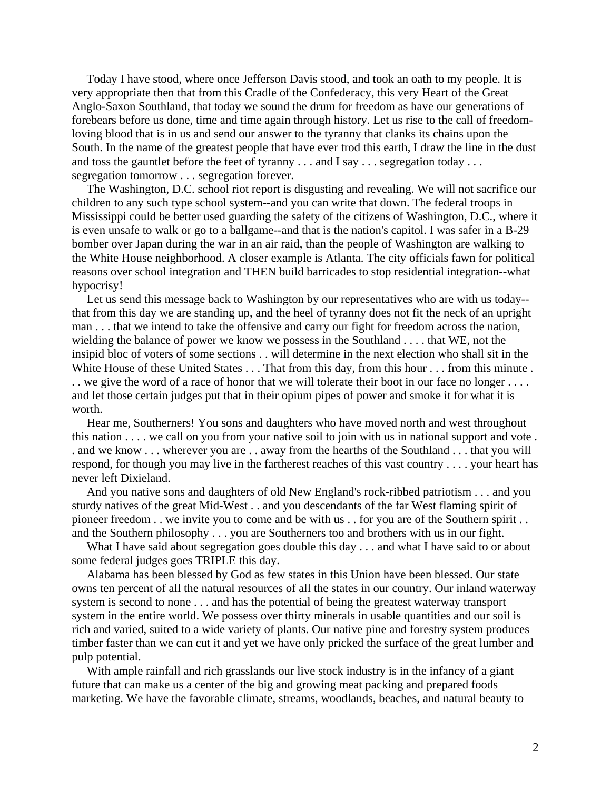Today I have stood, where once Jefferson Davis stood, and took an oath to my people. It is very appropriate then that from this Cradle of the Confederacy, this very Heart of the Great Anglo-Saxon Southland, that today we sound the drum for freedom as have our generations of forebears before us done, time and time again through history. Let us rise to the call of freedomloving blood that is in us and send our answer to the tyranny that clanks its chains upon the South. In the name of the greatest people that have ever trod this earth, I draw the line in the dust and toss the gauntlet before the feet of tyranny . . . and I say . . . segregation today . . . segregation tomorrow . . . segregation forever.

 The Washington, D.C. school riot report is disgusting and revealing. We will not sacrifice our children to any such type school system--and you can write that down. The federal troops in Mississippi could be better used guarding the safety of the citizens of Washington, D.C., where it is even unsafe to walk or go to a ballgame--and that is the nation's capitol. I was safer in a B-29 bomber over Japan during the war in an air raid, than the people of Washington are walking to the White House neighborhood. A closer example is Atlanta. The city officials fawn for political reasons over school integration and THEN build barricades to stop residential integration--what hypocrisy!

 Let us send this message back to Washington by our representatives who are with us today- that from this day we are standing up, and the heel of tyranny does not fit the neck of an upright man . . . that we intend to take the offensive and carry our fight for freedom across the nation, wielding the balance of power we know we possess in the Southland . . . . that WE, not the insipid bloc of voters of some sections . . will determine in the next election who shall sit in the White House of these United States . . . That from this day, from this hour . . . from this minute . . . we give the word of a race of honor that we will tolerate their boot in our face no longer . . . . and let those certain judges put that in their opium pipes of power and smoke it for what it is worth.

 Hear me, Southerners! You sons and daughters who have moved north and west throughout this nation . . . . we call on you from your native soil to join with us in national support and vote . . and we know . . . wherever you are . . away from the hearths of the Southland . . . that you will respond, for though you may live in the fartherest reaches of this vast country . . . . your heart has never left Dixieland.

 And you native sons and daughters of old New England's rock-ribbed patriotism . . . and you sturdy natives of the great Mid-West . . and you descendants of the far West flaming spirit of pioneer freedom . . we invite you to come and be with us . . for you are of the Southern spirit . . and the Southern philosophy . . . you are Southerners too and brothers with us in our fight.

What I have said about segregation goes double this day . . . and what I have said to or about some federal judges goes TRIPLE this day.

 Alabama has been blessed by God as few states in this Union have been blessed. Our state owns ten percent of all the natural resources of all the states in our country. Our inland waterway system is second to none . . . and has the potential of being the greatest waterway transport system in the entire world. We possess over thirty minerals in usable quantities and our soil is rich and varied, suited to a wide variety of plants. Our native pine and forestry system produces timber faster than we can cut it and yet we have only pricked the surface of the great lumber and pulp potential.

With ample rainfall and rich grasslands our live stock industry is in the infancy of a giant future that can make us a center of the big and growing meat packing and prepared foods marketing. We have the favorable climate, streams, woodlands, beaches, and natural beauty to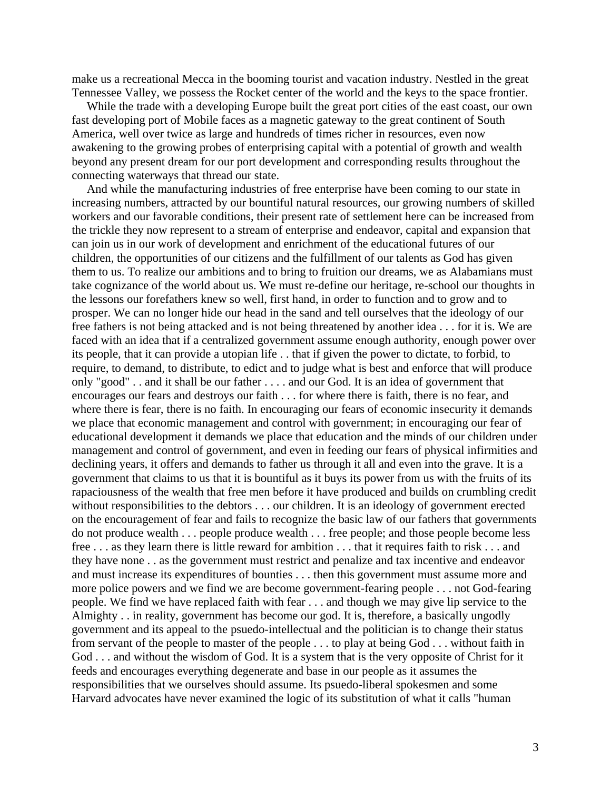make us a recreational Mecca in the booming tourist and vacation industry. Nestled in the great Tennessee Valley, we possess the Rocket center of the world and the keys to the space frontier.

 While the trade with a developing Europe built the great port cities of the east coast, our own fast developing port of Mobile faces as a magnetic gateway to the great continent of South America, well over twice as large and hundreds of times richer in resources, even now awakening to the growing probes of enterprising capital with a potential of growth and wealth beyond any present dream for our port development and corresponding results throughout the connecting waterways that thread our state.

 And while the manufacturing industries of free enterprise have been coming to our state in increasing numbers, attracted by our bountiful natural resources, our growing numbers of skilled workers and our favorable conditions, their present rate of settlement here can be increased from the trickle they now represent to a stream of enterprise and endeavor, capital and expansion that can join us in our work of development and enrichment of the educational futures of our children, the opportunities of our citizens and the fulfillment of our talents as God has given them to us. To realize our ambitions and to bring to fruition our dreams, we as Alabamians must take cognizance of the world about us. We must re-define our heritage, re-school our thoughts in the lessons our forefathers knew so well, first hand, in order to function and to grow and to prosper. We can no longer hide our head in the sand and tell ourselves that the ideology of our free fathers is not being attacked and is not being threatened by another idea . . . for it is. We are faced with an idea that if a centralized government assume enough authority, enough power over its people, that it can provide a utopian life . . that if given the power to dictate, to forbid, to require, to demand, to distribute, to edict and to judge what is best and enforce that will produce only "good" . . and it shall be our father . . . . and our God. It is an idea of government that encourages our fears and destroys our faith . . . for where there is faith, there is no fear, and where there is fear, there is no faith. In encouraging our fears of economic insecurity it demands we place that economic management and control with government; in encouraging our fear of educational development it demands we place that education and the minds of our children under management and control of government, and even in feeding our fears of physical infirmities and declining years, it offers and demands to father us through it all and even into the grave. It is a government that claims to us that it is bountiful as it buys its power from us with the fruits of its rapaciousness of the wealth that free men before it have produced and builds on crumbling credit without responsibilities to the debtors . . . our children. It is an ideology of government erected on the encouragement of fear and fails to recognize the basic law of our fathers that governments do not produce wealth . . . people produce wealth . . . free people; and those people become less free . . . as they learn there is little reward for ambition . . . that it requires faith to risk . . . and they have none . . as the government must restrict and penalize and tax incentive and endeavor and must increase its expenditures of bounties . . . then this government must assume more and more police powers and we find we are become government-fearing people . . . not God-fearing people. We find we have replaced faith with fear . . . and though we may give lip service to the Almighty . . in reality, government has become our god. It is, therefore, a basically ungodly government and its appeal to the psuedo-intellectual and the politician is to change their status from servant of the people to master of the people . . . to play at being God . . . without faith in God . . . and without the wisdom of God. It is a system that is the very opposite of Christ for it feeds and encourages everything degenerate and base in our people as it assumes the responsibilities that we ourselves should assume. Its psuedo-liberal spokesmen and some Harvard advocates have never examined the logic of its substitution of what it calls "human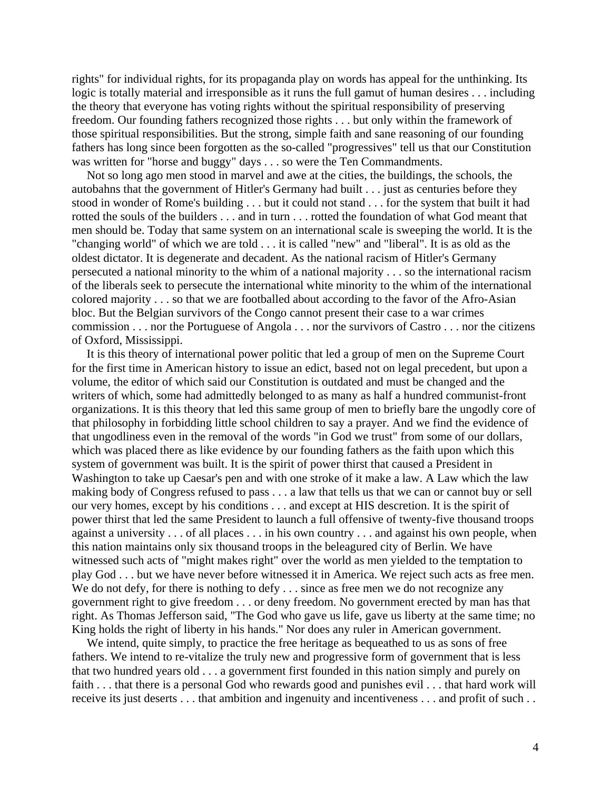rights" for individual rights, for its propaganda play on words has appeal for the unthinking. Its logic is totally material and irresponsible as it runs the full gamut of human desires . . . including the theory that everyone has voting rights without the spiritual responsibility of preserving freedom. Our founding fathers recognized those rights . . . but only within the framework of those spiritual responsibilities. But the strong, simple faith and sane reasoning of our founding fathers has long since been forgotten as the so-called "progressives" tell us that our Constitution was written for "horse and buggy" days . . . so were the Ten Commandments.

 Not so long ago men stood in marvel and awe at the cities, the buildings, the schools, the autobahns that the government of Hitler's Germany had built . . . just as centuries before they stood in wonder of Rome's building . . . but it could not stand . . . for the system that built it had rotted the souls of the builders . . . and in turn . . . rotted the foundation of what God meant that men should be. Today that same system on an international scale is sweeping the world. It is the "changing world" of which we are told . . . it is called "new" and "liberal". It is as old as the oldest dictator. It is degenerate and decadent. As the national racism of Hitler's Germany persecuted a national minority to the whim of a national majority . . . so the international racism of the liberals seek to persecute the international white minority to the whim of the international colored majority . . . so that we are footballed about according to the favor of the Afro-Asian bloc. But the Belgian survivors of the Congo cannot present their case to a war crimes commission . . . nor the Portuguese of Angola . . . nor the survivors of Castro . . . nor the citizens of Oxford, Mississippi.

 It is this theory of international power politic that led a group of men on the Supreme Court for the first time in American history to issue an edict, based not on legal precedent, but upon a volume, the editor of which said our Constitution is outdated and must be changed and the writers of which, some had admittedly belonged to as many as half a hundred communist-front organizations. It is this theory that led this same group of men to briefly bare the ungodly core of that philosophy in forbidding little school children to say a prayer. And we find the evidence of that ungodliness even in the removal of the words "in God we trust" from some of our dollars, which was placed there as like evidence by our founding fathers as the faith upon which this system of government was built. It is the spirit of power thirst that caused a President in Washington to take up Caesar's pen and with one stroke of it make a law. A Law which the law making body of Congress refused to pass . . . a law that tells us that we can or cannot buy or sell our very homes, except by his conditions . . . and except at HIS descretion. It is the spirit of power thirst that led the same President to launch a full offensive of twenty-five thousand troops against a university . . . of all places . . . in his own country . . . and against his own people, when this nation maintains only six thousand troops in the beleagured city of Berlin. We have witnessed such acts of "might makes right" over the world as men yielded to the temptation to play God . . . but we have never before witnessed it in America. We reject such acts as free men. We do not defy, for there is nothing to defy . . . since as free men we do not recognize any government right to give freedom . . . or deny freedom. No government erected by man has that right. As Thomas Jefferson said, "The God who gave us life, gave us liberty at the same time; no King holds the right of liberty in his hands." Nor does any ruler in American government.

 We intend, quite simply, to practice the free heritage as bequeathed to us as sons of free fathers. We intend to re-vitalize the truly new and progressive form of government that is less that two hundred years old . . . a government first founded in this nation simply and purely on faith . . . that there is a personal God who rewards good and punishes evil . . . that hard work will receive its just deserts . . . that ambition and ingenuity and incentiveness . . . and profit of such . .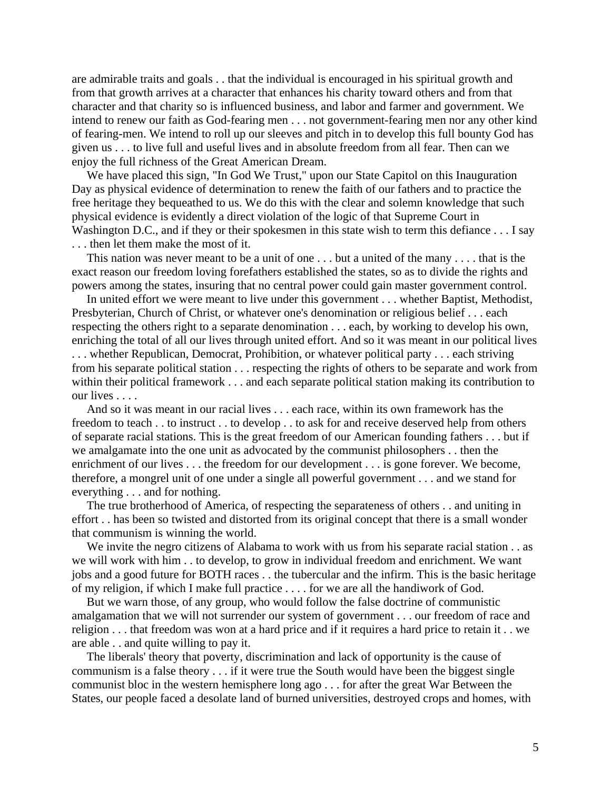are admirable traits and goals . . that the individual is encouraged in his spiritual growth and from that growth arrives at a character that enhances his charity toward others and from that character and that charity so is influenced business, and labor and farmer and government. We intend to renew our faith as God-fearing men . . . not government-fearing men nor any other kind of fearing-men. We intend to roll up our sleeves and pitch in to develop this full bounty God has given us . . . to live full and useful lives and in absolute freedom from all fear. Then can we enjoy the full richness of the Great American Dream.

 We have placed this sign, "In God We Trust," upon our State Capitol on this Inauguration Day as physical evidence of determination to renew the faith of our fathers and to practice the free heritage they bequeathed to us. We do this with the clear and solemn knowledge that such physical evidence is evidently a direct violation of the logic of that Supreme Court in Washington D.C., and if they or their spokesmen in this state wish to term this defiance . . . I say . . . then let them make the most of it.

 This nation was never meant to be a unit of one . . . but a united of the many . . . . that is the exact reason our freedom loving forefathers established the states, so as to divide the rights and powers among the states, insuring that no central power could gain master government control.

 In united effort we were meant to live under this government . . . whether Baptist, Methodist, Presbyterian, Church of Christ, or whatever one's denomination or religious belief . . . each respecting the others right to a separate denomination . . . each, by working to develop his own, enriching the total of all our lives through united effort. And so it was meant in our political lives . . . whether Republican, Democrat, Prohibition, or whatever political party . . . each striving from his separate political station . . . respecting the rights of others to be separate and work from within their political framework . . . and each separate political station making its contribution to our lives . . . .

 And so it was meant in our racial lives . . . each race, within its own framework has the freedom to teach . . to instruct . . to develop . . to ask for and receive deserved help from others of separate racial stations. This is the great freedom of our American founding fathers . . . but if we amalgamate into the one unit as advocated by the communist philosophers . . then the enrichment of our lives . . . the freedom for our development . . . is gone forever. We become, therefore, a mongrel unit of one under a single all powerful government . . . and we stand for everything . . . and for nothing.

 The true brotherhood of America, of respecting the separateness of others . . and uniting in effort . . has been so twisted and distorted from its original concept that there is a small wonder that communism is winning the world.

We invite the negro citizens of Alabama to work with us from his separate racial station . . as we will work with him . . to develop, to grow in individual freedom and enrichment. We want jobs and a good future for BOTH races . . the tubercular and the infirm. This is the basic heritage of my religion, if which I make full practice . . . . for we are all the handiwork of God.

 But we warn those, of any group, who would follow the false doctrine of communistic amalgamation that we will not surrender our system of government . . . our freedom of race and religion . . . that freedom was won at a hard price and if it requires a hard price to retain it . . we are able . . and quite willing to pay it.

 The liberals' theory that poverty, discrimination and lack of opportunity is the cause of communism is a false theory . . . if it were true the South would have been the biggest single communist bloc in the western hemisphere long ago . . . for after the great War Between the States, our people faced a desolate land of burned universities, destroyed crops and homes, with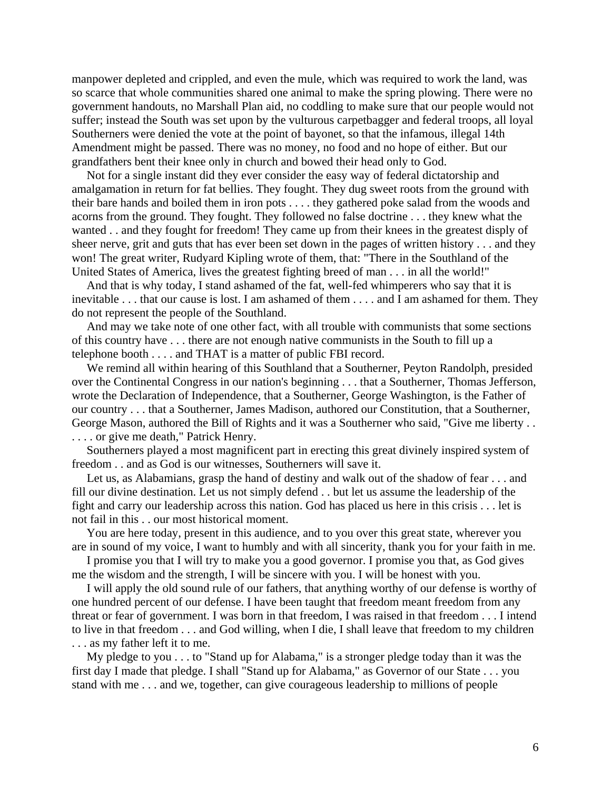manpower depleted and crippled, and even the mule, which was required to work the land, was so scarce that whole communities shared one animal to make the spring plowing. There were no government handouts, no Marshall Plan aid, no coddling to make sure that our people would not suffer; instead the South was set upon by the vulturous carpetbagger and federal troops, all loyal Southerners were denied the vote at the point of bayonet, so that the infamous, illegal 14th Amendment might be passed. There was no money, no food and no hope of either. But our grandfathers bent their knee only in church and bowed their head only to God.

 Not for a single instant did they ever consider the easy way of federal dictatorship and amalgamation in return for fat bellies. They fought. They dug sweet roots from the ground with their bare hands and boiled them in iron pots . . . . they gathered poke salad from the woods and acorns from the ground. They fought. They followed no false doctrine . . . they knew what the wanted . . and they fought for freedom! They came up from their knees in the greatest disply of sheer nerve, grit and guts that has ever been set down in the pages of written history . . . and they won! The great writer, Rudyard Kipling wrote of them, that: "There in the Southland of the United States of America, lives the greatest fighting breed of man . . . in all the world!"

 And that is why today, I stand ashamed of the fat, well-fed whimperers who say that it is inevitable . . . that our cause is lost. I am ashamed of them . . . . and I am ashamed for them. They do not represent the people of the Southland.

 And may we take note of one other fact, with all trouble with communists that some sections of this country have . . . there are not enough native communists in the South to fill up a telephone booth . . . . and THAT is a matter of public FBI record.

 We remind all within hearing of this Southland that a Southerner, Peyton Randolph, presided over the Continental Congress in our nation's beginning . . . that a Southerner, Thomas Jefferson, wrote the Declaration of Independence, that a Southerner, George Washington, is the Father of our country . . . that a Southerner, James Madison, authored our Constitution, that a Southerner, George Mason, authored the Bill of Rights and it was a Southerner who said, "Give me liberty . . . . . . or give me death," Patrick Henry.

 Southerners played a most magnificent part in erecting this great divinely inspired system of freedom . . and as God is our witnesses, Southerners will save it.

 Let us, as Alabamians, grasp the hand of destiny and walk out of the shadow of fear . . . and fill our divine destination. Let us not simply defend . . but let us assume the leadership of the fight and carry our leadership across this nation. God has placed us here in this crisis . . . let is not fail in this . . our most historical moment.

 You are here today, present in this audience, and to you over this great state, wherever you are in sound of my voice, I want to humbly and with all sincerity, thank you for your faith in me.

 I promise you that I will try to make you a good governor. I promise you that, as God gives me the wisdom and the strength, I will be sincere with you. I will be honest with you.

 I will apply the old sound rule of our fathers, that anything worthy of our defense is worthy of one hundred percent of our defense. I have been taught that freedom meant freedom from any threat or fear of government. I was born in that freedom, I was raised in that freedom . . . I intend to live in that freedom . . . and God willing, when I die, I shall leave that freedom to my children . . . as my father left it to me.

 My pledge to you . . . to "Stand up for Alabama," is a stronger pledge today than it was the first day I made that pledge. I shall "Stand up for Alabama," as Governor of our State . . . you stand with me . . . and we, together, can give courageous leadership to millions of people